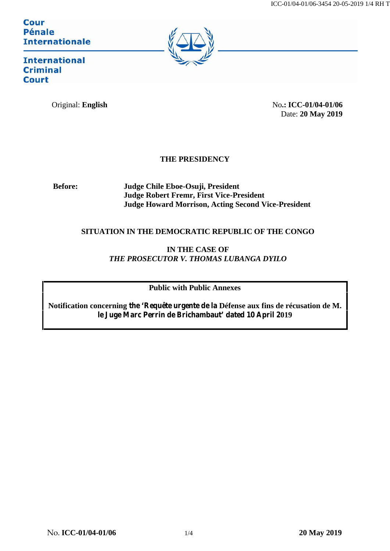Cour **Pénale Internationale** 



**International Criminal Court** 

Original: **English** No.: **ICC-01/04-01/06** Date: **20 May 2019**

## **THE PRESIDENCY**

**Before: Judge Chile Eboe-Osuji, President Judge Robert Fremr, First Vice-President Judge Howard Morrison, Acting Second Vice-President**

## **SITUATION IN THE DEMOCRATIC REPUBLIC OF THE CONGO**

**IN THE CASE OF** *THE PROSECUTOR V. THOMAS LUBANGA DYILO*

**Public with Public Annexes**

**Notification concerning the 'Requête urgente de la Défense aux fins de récusation de M. le Juge Marc Perrin de Brichambaut' dated 10 April 2019**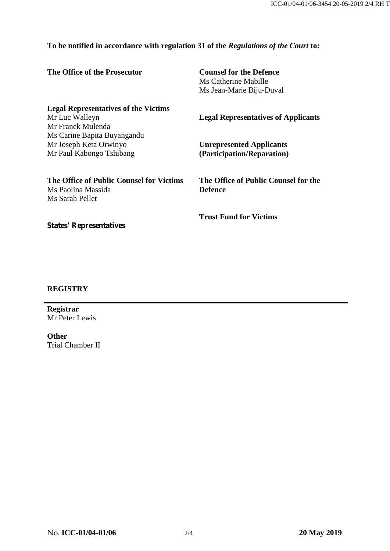## **To be notified in accordance with regulation 31 of the** *Regulations of the Court* **to:**

| The Office of the Prosecutor                                                                                        | <b>Counsel for the Defence</b><br>Ms Catherine Mabille<br>Ms Jean-Marie Biju-Duval |
|---------------------------------------------------------------------------------------------------------------------|------------------------------------------------------------------------------------|
| <b>Legal Representatives of the Victims</b><br>Mr Luc Walleyn                                                       | <b>Legal Representatives of Applicants</b>                                         |
| Mr Franck Mulenda<br>Ms Carine Bapita Buyangandu                                                                    |                                                                                    |
| Mr Joseph Keta Orwinyo<br>Mr Paul Kabongo Tshibang                                                                  | <b>Unrepresented Applicants</b><br>(Participation/Reparation)                      |
| The Office of Public Counsel for Victims<br>Ms Paolina Massida<br>Ms Sarah Pellet<br><b>States' Representatives</b> | The Office of Public Counsel for the<br><b>Defence</b>                             |
|                                                                                                                     | <b>Trust Fund for Victims</b>                                                      |

## **REGISTRY**

**Registrar** Mr Peter Lewis

**Other** Trial Chamber II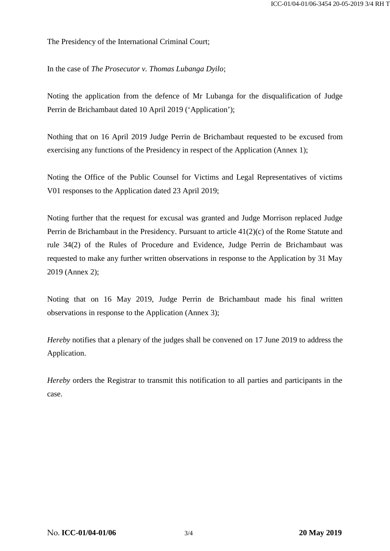The Presidency of the International Criminal Court;

In the case of *The Prosecutor v. Thomas Lubanga Dyilo*;

Noting the application from the defence of Mr Lubanga for the disqualification of Judge Perrin de Brichambaut dated 10 April 2019 ('Application');

Nothing that on 16 April 2019 Judge Perrin de Brichambaut requested to be excused from exercising any functions of the Presidency in respect of the Application (Annex 1);

Noting the Office of the Public Counsel for Victims and Legal Representatives of victims V01 responses to the Application dated 23 April 2019;

Noting further that the request for excusal was granted and Judge Morrison replaced Judge Perrin de Brichambaut in the Presidency. Pursuant to article 41(2)(c) of the Rome Statute and rule 34(2) of the Rules of Procedure and Evidence, Judge Perrin de Brichambaut was requested to make any further written observations in response to the Application by 31 May 2019 (Annex 2);

Noting that on 16 May 2019, Judge Perrin de Brichambaut made his final written observations in response to the Application (Annex 3);

*Hereby* notifies that a plenary of the judges shall be convened on 17 June 2019 to address the Application.

*Hereby* orders the Registrar to transmit this notification to all parties and participants in the case.